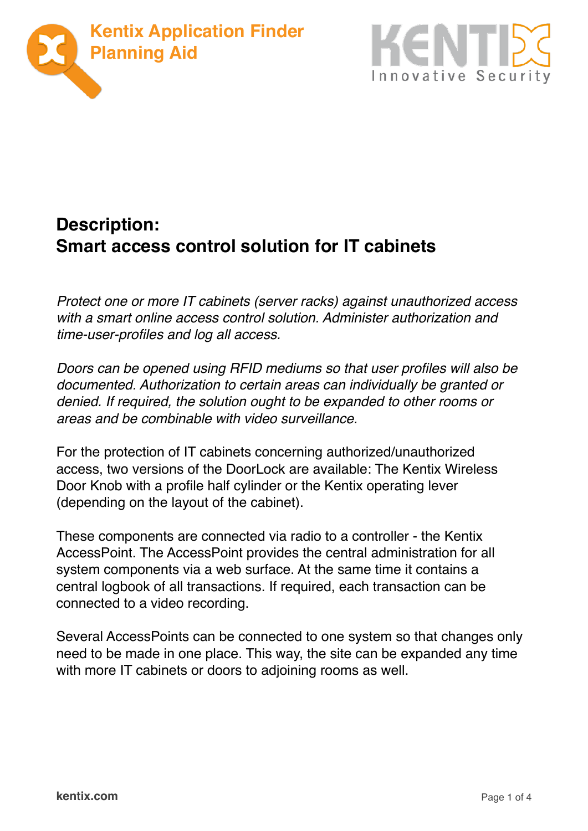



## **Description: Smart access control solution for IT cabinets**

*Protect one or more IT cabinets (server racks) against unauthorized access with a smart online access control solution. Administer authorization and time-user-profiles and log all access.*

*Doors can be opened using RFID mediums so that user profiles will also be documented. Authorization to certain areas can individually be granted or denied. If required, the solution ought to be expanded to other rooms or areas and be combinable with video surveillance.*

For the protection of IT cabinets concerning authorized/unauthorized access, two versions of the DoorLock are available: The Kentix Wireless Door Knob with a profile half cylinder or the Kentix operating lever (depending on the layout of the cabinet).

These components are connected via radio to a controller - the Kentix AccessPoint. The AccessPoint provides the central administration for all system components via a web surface. At the same time it contains a central logbook of all transactions. If required, each transaction can be connected to a video recording.

Several AccessPoints can be connected to one system so that changes only need to be made in one place. This way, the site can be expanded any time with more IT cabinets or doors to adjoining rooms as well.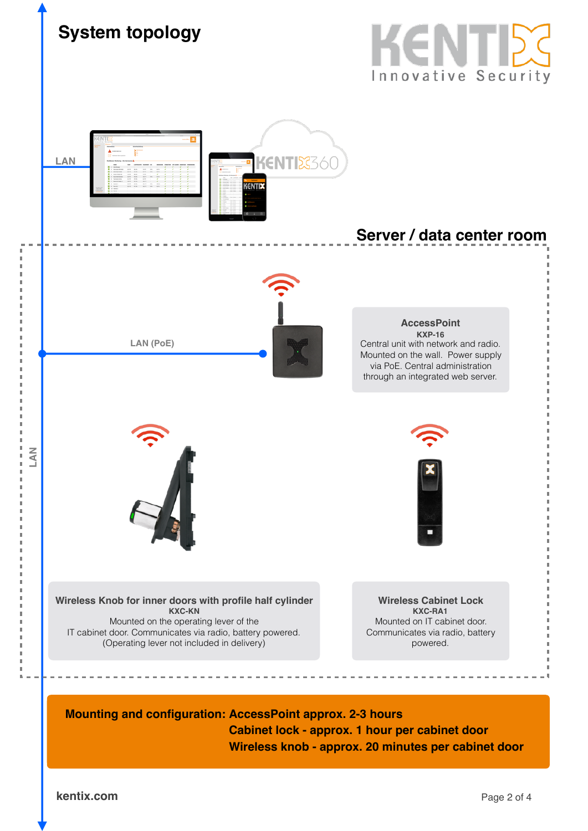

**Wireless knob - approx. 20 minutes per cabinet door**

**kentix.com** Page 2 of 4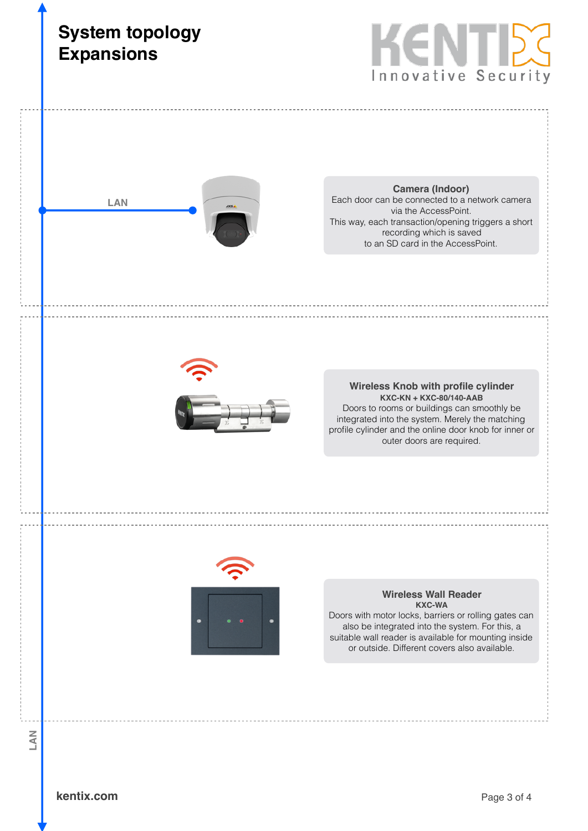![](_page_2_Picture_0.jpeg)